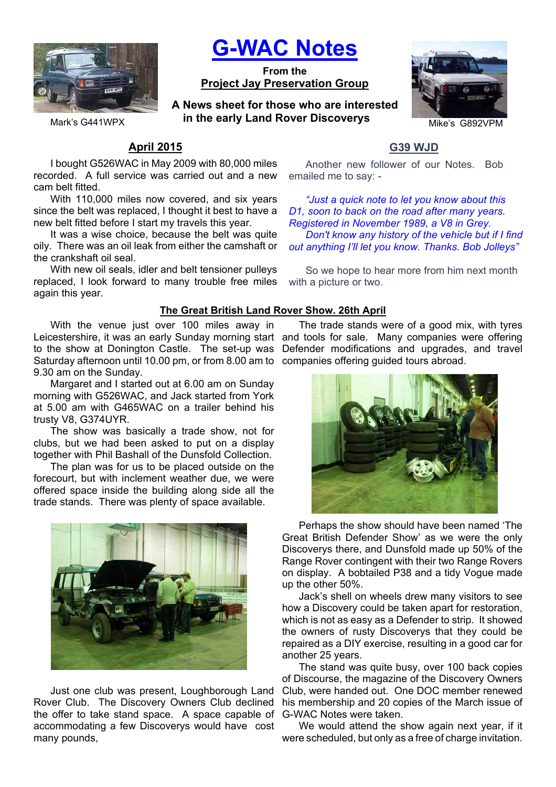

**G-WAC Notes**

**From the Project Jay Preservation Group**

Mark's G441WPX *in the early Land Rover Discoverys* Mike's G892VPM **A News sheet for those who are interested** 



# **April 2015**

I bought G526WAC in May 2009 with 80,000 miles recorded. A full service was carried out and a new cam belt fitted.

With 110,000 miles now covered, and six years since the belt was replaced, I thought it best to have a new belt fitted before I start my travels this year.

It was a wise choice, because the belt was quite oily. There was an oil leak from either the camshaft or the crankshaft oil seal.

With new oil seals, idler and belt tensioner pulleys replaced, I look forward to many trouble free miles again this year.

## **The Great British Land Rover Show. 26th April**

With the venue just over 100 miles away in Leicestershire, it was an early Sunday morning start and tools for sale. Many companies were offering to the show at Donington Castle. The set-up was Saturday afternoon until 10.00 pm, or from 8.00 am to companies offering guided tours abroad. 9.30 am on the Sunday.

Margaret and I started out at 6.00 am on Sunday morning with G526WAC, and Jack started from York at 5.00 am with G465WAC on a trailer behind his trusty V8, G374UYR.

The show was basically a trade show, not for clubs, but we had been asked to put on a display together with Phil Bashall of the Dunsfold Collection.

The plan was for us to be placed outside on the forecourt, but with inclement weather due, we were offered space inside the building along side all the trade stands. There was plenty of space available.



Just one club was present, Loughborough Land Rover Club. The Discovery Owners Club declined the offer to take stand space. A space capable of accommodating a few Discoverys would have cost many pounds,

# **G39 WJD**

Another new follower of our Notes. Bob emailed me to say: -

*"Just a quick note to let you know about this D1, soon to back on the road after many years. Registered in November 1989, a V8 in Grey. Don't know any history of the vehicle but if I find out anything I'll let you know. Thanks. Bob Jolleys"*

So we hope to hear more from him next month with a picture or two.

The trade stands were of a good mix, with tyres Defender modifications and upgrades, and travel



Perhaps the show should have been named 'The Great British Defender Show' as we were the only Discoverys there, and Dunsfold made up 50% of the Range Rover contingent with their two Range Rovers on display. A bobtailed P38 and a tidy Vogue made up the other 50%.

Jack's shell on wheels drew many visitors to see how a Discovery could be taken apart for restoration, which is not as easy as a Defender to strip. It showed the owners of rusty Discoverys that they could be repaired as a DIY exercise, resulting in a good car for another 25 years.

The stand was quite busy, over 100 back copies of Discourse, the magazine of the Discovery Owners Club, were handed out. One DOC member renewed his membership and 20 copies of the March issue of G-WAC Notes were taken.

We would attend the show again next year, if it were scheduled, but only as a free of charge invitation.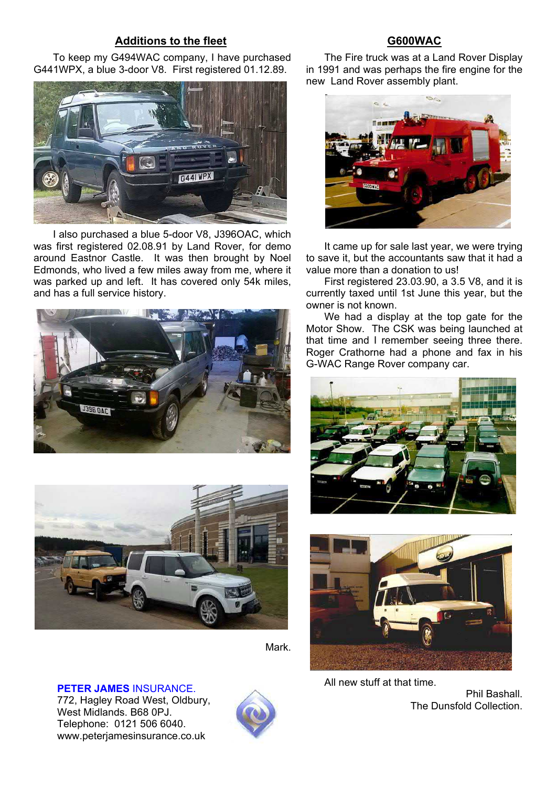## **Additions to the fleet**

To keep my G494WAC company, I have purchased G441WPX, a blue 3-door V8. First registered 01.12.89.



I also purchased a blue 5-door V8, J396OAC, which was first registered 02.08.91 by Land Rover, for demo around Eastnor Castle. It was then brought by Noel Edmonds, who lived a few miles away from me, where it was parked up and left. It has covered only 54k miles, and has a full service history.





Mark.

**PETER JAMES** INSURANCE.

772, Hagley Road West, Oldbury, West Midlands. B68 0PJ. Telephone: 0121 506 6040. www.peterjamesinsurance.co.uk



## **G600WAC**

The Fire truck was at a Land Rover Display in 1991 and was perhaps the fire engine for the new Land Rover assembly plant.



It came up for sale last year, we were trying to save it, but the accountants saw that it had a value more than a donation to us!

First registered 23.03.90, a 3.5 V8, and it is currently taxed until 1st June this year, but the owner is not known.

We had a display at the top gate for the Motor Show. The CSK was being launched at that time and I remember seeing three there. Roger Crathorne had a phone and fax in his G-WAC Range Rover company car.





All new stuff at that time.

Phil Bashall. The Dunsfold Collection.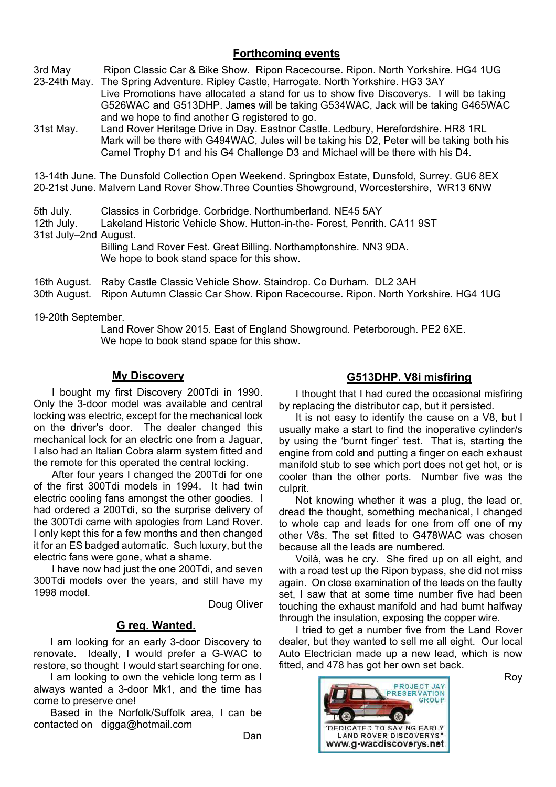## **Forthcoming events**

3rd May Ripon Classic Car & Bike Show. Ripon Racecourse. Ripon. North Yorkshire. HG4 1UG 23-24th May. The Spring Adventure. Ripley Castle, Harrogate. North Yorkshire. HG3 3AY

 Live Promotions have allocated a stand for us to show five Discoverys. I will be taking G526WAC and G513DHP. James will be taking G534WAC, Jack will be taking G465WAC and we hope to find another G registered to go.

31st May. Land Rover Heritage Drive in Day. Eastnor Castle. Ledbury, Herefordshire. HR8 1RL Mark will be there with G494WAC, Jules will be taking his D2, Peter will be taking both his Camel Trophy D1 and his G4 Challenge D3 and Michael will be there with his D4.

13-14th June. The Dunsfold Collection Open Weekend. Springbox Estate, Dunsfold, Surrey. GU6 8EX 20-21st June. Malvern Land Rover Show.Three Counties Showground, Worcestershire, WR13 6NW

5th July. Classics in Corbridge. Corbridge. Northumberland. NE45 5AY

12th July. Lakeland Historic Vehicle Show. Hutton-in-the- Forest, Penrith. CA11 9ST 31st July–2nd August.

 Billing Land Rover Fest. Great Billing. Northamptonshire. NN3 9DA. We hope to book stand space for this show.

16th August. Raby Castle Classic Vehicle Show. Staindrop. Co Durham. DL2 3AH

30th August. Ripon Autumn Classic Car Show. Ripon Racecourse. Ripon. North Yorkshire. HG4 1UG

19-20th September.

 Land Rover Show 2015. East of England Showground. Peterborough. PE2 6XE. We hope to book stand space for this show.

## **My Discovery**

I bought my first Discovery 200Tdi in 1990. Only the 3-door model was available and central locking was electric, except for the mechanical lock on the driver's door. The dealer changed this mechanical lock for an electric one from a Jaguar, I also had an Italian Cobra alarm system fitted and the remote for this operated the central locking.

After four years I changed the 200Tdi for one of the first 300Tdi models in 1994. It had twin electric cooling fans amongst the other goodies. I had ordered a 200Tdi, so the surprise delivery of the 300Tdi came with apologies from Land Rover. I only kept this for a few months and then changed it for an ES badged automatic. Such luxury, but the electric fans were gone, what a shame.

I have now had just the one 200Tdi, and seven 300Tdi models over the years, and still have my 1998 model.

Doug Oliver

## **G reg. Wanted.**

I am looking for an early 3-door Discovery to renovate. Ideally, I would prefer a G-WAC to restore, so thought I would start searching for one.

I am looking to own the vehicle long term as I always wanted a 3-door Mk1, and the time has come to preserve one!

Based in the Norfolk/Suffolk area, I can be contacted on digga@hotmail.com

## **G513DHP. V8i misfiring**

I thought that I had cured the occasional misfiring by replacing the distributor cap, but it persisted.

It is not easy to identify the cause on a V8, but I usually make a start to find the inoperative cylinder/s by using the 'burnt finger' test. That is, starting the engine from cold and putting a finger on each exhaust manifold stub to see which port does not get hot, or is cooler than the other ports. Number five was the culprit.

Not knowing whether it was a plug, the lead or, dread the thought, something mechanical, I changed to whole cap and leads for one from off one of my other V8s. The set fitted to G478WAC was chosen because all the leads are numbered.

Voilà, was he cry. She fired up on all eight, and with a road test up the Ripon bypass, she did not miss again. On close examination of the leads on the faulty set, I saw that at some time number five had been touching the exhaust manifold and had burnt halfway through the insulation, exposing the copper wire.

I tried to get a number five from the Land Rover dealer, but they wanted to sell me all eight. Our local Auto Electrician made up a new lead, which is now fitted, and 478 has got her own set back.



Roy